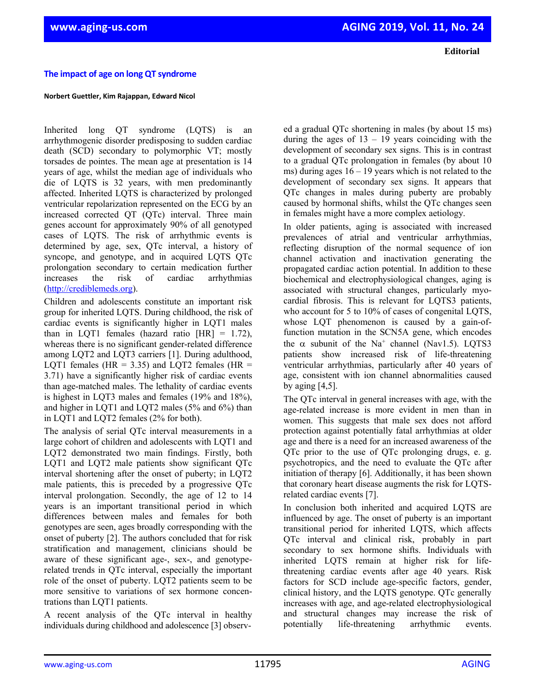**Editorial**

## **The impact of age on long QT syndrome**

## **Norbert Guettler, Kim Rajappan, Edward Nicol**

Inherited long QT syndrome (LQTS) is an arrhythmogenic disorder predisposing to sudden cardiac death (SCD) secondary to polymorphic VT; mostly torsades de pointes. The mean age at presentation is 14 years of age, whilst the median age of individuals who die of LQTS is 32 years, with men predominantly affected. Inherited LQTS is characterized by prolonged ventricular repolarization represented on the ECG by an increased corrected QT (QTc) interval. Three main genes account for approximately 90% of all genotyped cases of LQTS. The risk of arrhythmic events is determined by age, sex, QTc interval, a history of syncope, and genotype, and in acquired LQTS QTc prolongation secondary to certain medication further increases the risk of cardiac arrhythmias [\(http://crediblemeds.org\)](http://crediblemeds.org/).

Children and adolescents constitute an important risk group for inherited LQTS. During childhood, the risk of cardiac events is significantly higher in LQT1 males than in LQT1 females (hazard ratio  $[HR] = 1.72$ ), whereas there is no significant gender-related difference among LQT2 and LQT3 carriers [1]. During adulthood, LOT1 females (HR =  $3.35$ ) and LOT2 females (HR = 3.71) have a significantly higher risk of cardiac events than age-matched males. The lethality of cardiac events is highest in LQT3 males and females (19% and 18%), and higher in LQT1 and LQT2 males (5% and 6%) than in LQT1 and LQT2 females (2% for both).

The analysis of serial QTc interval measurements in a large cohort of children and adolescents with LQT1 and LQT2 demonstrated two main findings. Firstly, both LQT1 and LQT2 male patients show significant QTc interval shortening after the onset of puberty; in LQT2 male patients, this is preceded by a progressive QTc interval prolongation. Secondly, the age of 12 to 14 years is an important transitional period in which differences between males and females for both genotypes are seen, ages broadly corresponding with the onset of puberty [2]. The authors concluded that for risk stratification and management, clinicians should be aware of these significant age-, sex-, and genotyperelated trends in QTc interval, especially the important role of the onset of puberty. LQT2 patients seem to be more sensitive to variations of sex hormone concentrations than LQT1 patients.

A recent analysis of the QTc interval in healthy individuals during childhood and adolescence [3] observed a gradual QTc shortening in males (by about 15 ms) during the ages of  $13 - 19$  years coinciding with the development of secondary sex signs. This is in contrast to a gradual QTc prolongation in females (by about 10 ms) during ages  $16 - 19$  years which is not related to the development of secondary sex signs. It appears that QTc changes in males during puberty are probably caused by hormonal shifts, whilst the QTc changes seen in females might have a more complex aetiology.

In older patients, aging is associated with increased prevalences of atrial and ventricular arrhythmias, reflecting disruption of the normal sequence of ion channel activation and inactivation generating the propagated cardiac action potential. In addition to these biochemical and electrophysiological changes, aging is associated with structural changes, particularly myocardial fibrosis. This is relevant for LQTS3 patients, who account for 5 to 10% of cases of congenital LQTS, whose LOT phenomenon is caused by a gain-offunction mutation in the SCN5A gene, which encodes the  $\alpha$  subunit of the Na<sup>+</sup> channel (Nav1.5). LQTS3 patients show increased risk of life-threatening ventricular arrhythmias, particularly after 40 years of age, consistent with ion channel abnormalities caused by aging  $[4,5]$ .

The QTc interval in general increases with age, with the age-related increase is more evident in men than in women. This suggests that male sex does not afford protection against potentially fatal arrhythmias at older age and there is a need for an increased awareness of the QTc prior to the use of QTc prolonging drugs, e. g. psychotropics, and the need to evaluate the QTc after initiation of therapy [6]. Additionally, it has been shown that coronary heart disease augments the risk for LQTSrelated cardiac events [7].

In conclusion both inherited and acquired LQTS are influenced by age. The onset of puberty is an important transitional period for inherited LQTS, which affects QTc interval and clinical risk, probably in part secondary to sex hormone shifts. Individuals with inherited LQTS remain at higher risk for lifethreatening cardiac events after age 40 years. Risk factors for SCD include age-specific factors, gender, clinical history, and the LQTS genotype. QTc generally increases with age, and age-related electrophysiological and structural changes may increase the risk of potentially life-threatening arrhythmic events.